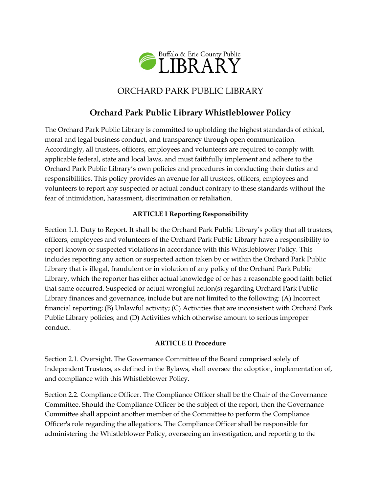

# ORCHARD PARK PUBLIC LIBRARY

# **Orchard Park Public Library Whistleblower Policy**

The Orchard Park Public Library is committed to upholding the highest standards of ethical, moral and legal business conduct, and transparency through open communication. Accordingly, all trustees, officers, employees and volunteers are required to comply with applicable federal, state and local laws, and must faithfully implement and adhere to the Orchard Park Public Library's own policies and procedures in conducting their duties and responsibilities. This policy provides an avenue for all trustees, officers, employees and volunteers to report any suspected or actual conduct contrary to these standards without the fear of intimidation, harassment, discrimination or retaliation.

### **ARTICLE I Reporting Responsibility**

Section 1.1. Duty to Report. It shall be the Orchard Park Public Library's policy that all trustees, officers, employees and volunteers of the Orchard Park Public Library have a responsibility to report known or suspected violations in accordance with this Whistleblower Policy. This includes reporting any action or suspected action taken by or within the Orchard Park Public Library that is illegal, fraudulent or in violation of any policy of the Orchard Park Public Library, which the reporter has either actual knowledge of or has a reasonable good faith belief that same occurred. Suspected or actual wrongful action(s) regarding Orchard Park Public Library finances and governance, include but are not limited to the following: (A) Incorrect financial reporting; (B) Unlawful activity; (C) Activities that are inconsistent with Orchard Park Public Library policies; and (D) Activities which otherwise amount to serious improper conduct.

#### **ARTICLE II Procedure**

Section 2.1. Oversight. The Governance Committee of the Board comprised solely of Independent Trustees, as defined in the Bylaws, shall oversee the adoption, implementation of, and compliance with this Whistleblower Policy.

Section 2.2. Compliance Officer. The Compliance Officer shall be the Chair of the Governance Committee. Should the Compliance Officer be the subject of the report, then the Governance Committee shall appoint another member of the Committee to perform the Compliance Officer's role regarding the allegations. The Compliance Officer shall be responsible for administering the Whistleblower Policy, overseeing an investigation, and reporting to the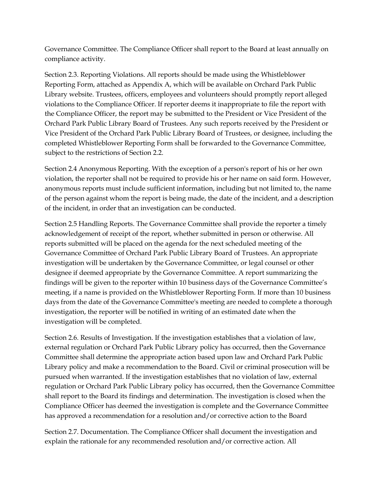Governance Committee. The Compliance Officer shall report to the Board at least annually on compliance activity.

Section 2.3. Reporting Violations. All reports should be made using the Whistleblower Reporting Form, attached as Appendix A, which will be available on Orchard Park Public Library website. Trustees, officers, employees and volunteers should promptly report alleged violations to the Compliance Officer. If reporter deems it inappropriate to file the report with the Compliance Officer, the report may be submitted to the President or Vice President of the Orchard Park Public Library Board of Trustees. Any such reports received by the President or Vice President of the Orchard Park Public Library Board of Trustees, or designee, including the completed Whistleblower Reporting Form shall be forwarded to the Governance Committee, subject to the restrictions of Section 2.2.

Section 2.4 Anonymous Reporting. With the exception of a person's report of his or her own violation, the reporter shall not be required to provide his or her name on said form. However, anonymous reports must include sufficient information, including but not limited to, the name of the person against whom the report is being made, the date of the incident, and a description of the incident, in order that an investigation can be conducted.

Section 2.5 Handling Reports. The Governance Committee shall provide the reporter a timely acknowledgement of receipt of the report, whether submitted in person or otherwise. All reports submitted will be placed on the agenda for the next scheduled meeting of the Governance Committee of Orchard Park Public Library Board of Trustees. An appropriate investigation will be undertaken by the Governance Committee, or legal counsel or other designee if deemed appropriate by the Governance Committee. A report summarizing the findings will be given to the reporter within 10 business days of the Governance Committee's meeting, if a name is provided on the Whistleblower Reporting Form. If more than 10 business days from the date of the Governance Committee's meeting are needed to complete a thorough investigation, the reporter will be notified in writing of an estimated date when the investigation will be completed.

Section 2.6. Results of Investigation. If the investigation establishes that a violation of law, external regulation or Orchard Park Public Library policy has occurred, then the Governance Committee shall determine the appropriate action based upon law and Orchard Park Public Library policy and make a recommendation to the Board. Civil or criminal prosecution will be pursued when warranted. If the investigation establishes that no violation of law, external regulation or Orchard Park Public Library policy has occurred, then the Governance Committee shall report to the Board its findings and determination. The investigation is closed when the Compliance Officer has deemed the investigation is complete and the Governance Committee has approved a recommendation for a resolution and/or corrective action to the Board

Section 2.7. Documentation. The Compliance Officer shall document the investigation and explain the rationale for any recommended resolution and/or corrective action. All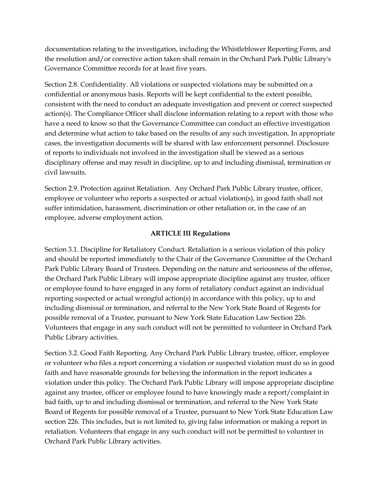documentation relating to the investigation, including the Whistleblower Reporting Form, and the resolution and/or corrective action taken shall remain in the Orchard Park Public Library's Governance Committee records for at least five years.

Section 2.8. Confidentiality. All violations or suspected violations may be submitted on a confidential or anonymous basis. Reports will be kept confidential to the extent possible, consistent with the need to conduct an adequate investigation and prevent or correct suspected action(s). The Compliance Officer shall disclose information relating to a report with those who have a need to know so that the Governance Committee can conduct an effective investigation and determine what action to take based on the results of any such investigation. In appropriate cases, the investigation documents will be shared with law enforcement personnel. Disclosure of reports to individuals not involved in the investigation shall be viewed as a serious disciplinary offense and may result in discipline, up to and including dismissal, termination or civil lawsuits.

Section 2.9. Protection against Retaliation. Any Orchard Park Public Library trustee, officer, employee or volunteer who reports a suspected or actual violation(s), in good faith shall not suffer intimidation, harassment, discrimination or other retaliation or, in the case of an employee, adverse employment action.

#### **ARTICLE III Regulations**

Section 3.1. Discipline for Retaliatory Conduct. Retaliation is a serious violation of this policy and should be reported immediately to the Chair of the Governance Committee of the Orchard Park Public Library Board of Trustees. Depending on the nature and seriousness of the offense, the Orchard Park Public Library will impose appropriate discipline against any trustee, officer or employee found to have engaged in any form of retaliatory conduct against an individual reporting suspected or actual wrongful action(s) in accordance with this policy, up to and including dismissal or termination, and referral to the New York State Board of Regents for possible removal of a Trustee, pursuant to New York State Education Law Section 226. Volunteers that engage in any such conduct will not be permitted to volunteer in Orchard Park Public Library activities.

Section 3.2. Good Faith Reporting. Any Orchard Park Public Library trustee, officer, employee or volunteer who files a report concerning a violation or suspected violation must do so in good faith and have reasonable grounds for believing the information in the report indicates a violation under this policy. The Orchard Park Public Library will impose appropriate discipline against any trustee, officer or employee found to have knowingly made a report/complaint in bad faith, up to and including dismissal or termination, and referral to the New York State Board of Regents for possible removal of a Trustee, pursuant to New York State Education Law section 226. This includes, but is not limited to, giving false information or making a report in retaliation. Volunteers that engage in any such conduct will not be permitted to volunteer in Orchard Park Public Library activities.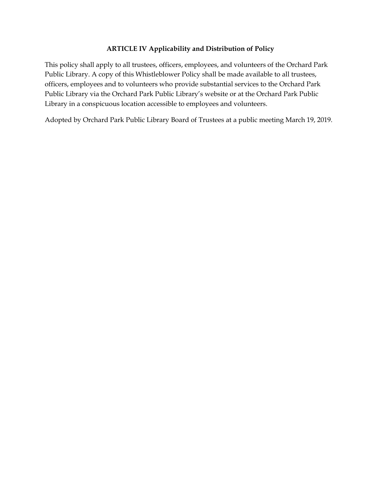#### **ARTICLE IV Applicability and Distribution of Policy**

This policy shall apply to all trustees, officers, employees, and volunteers of the Orchard Park Public Library. A copy of this Whistleblower Policy shall be made available to all trustees, officers, employees and to volunteers who provide substantial services to the Orchard Park Public Library via the Orchard Park Public Library's website or at the Orchard Park Public Library in a conspicuous location accessible to employees and volunteers.

Adopted by Orchard Park Public Library Board of Trustees at a public meeting March 19, 2019.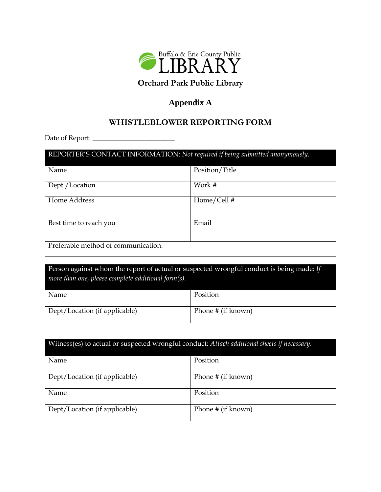

# **Orchard Park Public Library**

## **Appendix A**

## **WHISTLEBLOWER REPORTING FORM**

Date of Report: \_\_\_\_\_\_\_\_\_\_\_\_\_\_\_\_\_\_\_\_\_\_\_\_

# REPORTER'S CONTACT INFORMATION: *Not required if being submitted anonymously.* Name Position/Title Dept./Location Work # Home Address Home/Cell # Best time to reach you Email Preferable method of communication:

Person against whom the report of actual or suspected wrongful conduct is being made: *If more than one, please complete additional form(s).*

| Name                          | Position           |
|-------------------------------|--------------------|
| Dept/Location (if applicable) | Phone # (if known) |

| Witness(es) to actual or suspected wrongful conduct: Attach additional sheets if necessary. |                    |  |  |  |
|---------------------------------------------------------------------------------------------|--------------------|--|--|--|
| Name                                                                                        | Position           |  |  |  |
| Dept/Location (if applicable)                                                               | Phone # (if known) |  |  |  |
| Name                                                                                        | Position           |  |  |  |
| Dept/Location (if applicable)                                                               | Phone # (if known) |  |  |  |